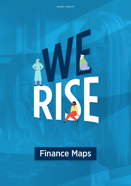# Finance Maps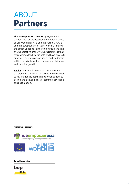## **Partners** ABOUT

The [WeEmpowerAsia \(WEA\)](https://asiapacific.unwomen.org/en/focus-areas/women-poverty-economics/weempowerasia) programme is a collaborative effort between the Regional Office of UN Women for Asia and the Pacific (ROAP) and the European Union (EU), which is funding the action under its Partnership Instrument. The overall objective of the WEA programme is that more women lead, participate and have access to enhanced business opportunities and leadership within the private sector to advance sustainable and inclusive growth.

**[Bopinc](http://bopinc.org)** connects low-income consumers with the dignified choices of tomorrow. From startups to multinationals, Bopinc helps organisations to design and deliver inclusive, commercially viable business models.

#### **Programme partners:**



#### **Co-authored with:**

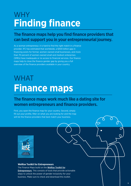## **Finding finance** WHY

### **The finance maps help you find finance providers that can best support you in your entrepreneurial journey.**

As a woman entrepreneur, it is hard to find the right match in a finance provider. IFC has estimated that worldwide, a \$300 billion gap in financing exists for formal, women-owned small businesses, and more than 70 percent of women-owned small and medium enterprises (SMEs) have inadequate or no access to financial services. Our finance maps help to close the finance gender gap by giving you a full overview of the finance providers available in your country.

# **Finance maps** WHAT

### **The finance maps work much like a dating site for women entrepreneurs and finance providers.**

First, you open the finance map for your country. Second, simply fill out your profile, filter on what you are looking for and the map will list the finance providers that best match your business.



#### **WeRise Toolkit for Entrepreneurs**

The Finance Maps build on the [WeRise Toolkit for](https://drive.google.com/drive/folders/1zlSPu-wNW9wApM5_Ad8yWb_t1W2RyxFL?usp=sharing) [Entrepreneurs](https://drive.google.com/drive/folders/1zlSPu-wNW9wApM5_Ad8yWb_t1W2RyxFL?usp=sharing). This consists of tools that provide actionable steps to unlock the power of gender inclusivity for your business. Make sure to check and download this toolkit.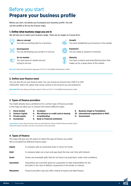### **Prepare your business profile** Before you start

Before you start, we advise you to prepare your business profile. You will use this profile to fill out the finance maps.

#### **1. Define what business stage you are in**

We will ask you to select your business stage. There are six stages to choose from.



#### **Idea or concept**

**Development**

You have an exciting idea for a business.

You are developing your product or service.

**Go-to-market** You have gone to market and are trying to survive.



### You have established your business in the market.

**Growth**

#### **Expansion**

You are ready to expand or diversify.



#### **Maturity**

You have a mature and diversified business that makes up for a large share of the market.

**Not sure?** Check out the business stage quiz of Tool 2 in the WeRise Entrepreneur toolkit.

#### **2. Define your finance need**

You can also fill out your finance need. You can choose an amount from USD 0 to USD 5,000,000. Select the option that comes closest to the amount you are looking for.

**Need help?** Not sure what your finance need is? Check out Tool 1 in the WeRise Entrepreneur toolkit.

#### **3. Types of finance providers**

You might already have a preference for a certain type of finance provider. In the maps we allow you to choose from eleven different types:

- **1. Stock market**
- **2. Venture Capital**
- **5. Incubator**
- 
- **4. Accelerator**
- 
- **6. Microfinance or credit card or leasing**
- **3. Private equity**
- **7. Crowdfunding**
- **8. Bank or Financial Institution**
- **9. Business Angel or Foundation**
- **10. International organization or NGO**
- **11. Government**

**Learn more?** Curious about the pros and cons and selection criteria of these finance provider types? Check the finance provider overview in the Annex of this document.

#### **4. Types of finance**

The maps will give you the option to select the type of finance you prefer. We've included five different finance types:

| <b>Equity</b>    | A company sells an ownership share in return for funds.                                                                                                |  |  |  |  |
|------------------|--------------------------------------------------------------------------------------------------------------------------------------------------------|--|--|--|--|
| <b>Debt</b>      | A company takes out a loan and pays back the loan over time with interest.                                                                             |  |  |  |  |
| Grant            | Grants are essentially gifts that do not have to be paid back, under most conditions.                                                                  |  |  |  |  |
| <b>Guarantee</b> | Guarantees are a promise given by a guarantor to take responsibility for the<br>borrower in the case of default in payments to the lender or investor. |  |  |  |  |
| Mezzanine        | Finance providers may also offer a blend of equity and debt finance.                                                                                   |  |  |  |  |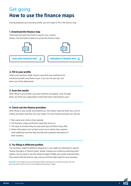## **How to use the finance maps** Get going

Having prepared your business profile, you are ready to fill in the finance map.

#### **1. Download the finance map**

Download and open the finance map for your country. Simply click the buttons below to access the finance maps.



#### **2. Fill in your profile**

Select your business stage, finance need and your preference for a finance provider and finance type. If you are not sure yet, just leave one of the fields blank.

#### **3. Scan the results**

After filling in your profile, your best matches will appear. Scan through them, are there any organizations listed that seem interesting to you?

#### **4. Check out the finance providers**

After filling in your profile and preferences, the finance map will show you a list of finance providers that best suit your needs. For each finance provider you will see:

- 1. Their name and a link to their website.
- 2. The business stage and finance need they focus on.
- 3. The type of provider they are and what type of finance they offer.
- 4. Other information such as their sector focus, where they operate, what additional services they provide and a general description of their business.

#### **5. Try filling in different profiles**

Your business might fit different categories or you might be interested in several finance providers or finance types. Simply change your profile by selecting other options. Do you want to see the whole list again? Delete your earlier selected items. Play around with the finance map until you find the right match for your business.

**Reminder:** Don't forget to do your homework before reaching out to a finance provider. Not sure how to do this? Check out Tool 2 of the WeRise Entrepreneur Toolkit.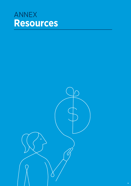## **Resources** ANNEX

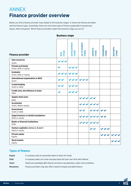## ANNEX **Finance provider overview**

Below you find a finance provider map related to the business stages. It shows the finance providers and the finance types. Essentially, there are only three types of finance applicable to businesses: equity, Debt and grants. Which finance providers match the business stage you are in?

| <b>Finance provider</b>                                 | <b>STAGE</b><br><b>IDEA</b> | <b>DEVELOPMENT</b><br><b>STAGE</b> | <b>GO TO MARKET</b><br><b>STAGE</b> | <b>GROWTH</b><br><b>STAGE</b> | EXPANSION<br><b>STAGE</b> | MATURITY<br><b>STAGE</b> |
|---------------------------------------------------------|-----------------------------|------------------------------------|-------------------------------------|-------------------------------|---------------------------|--------------------------|
| <b>Own resources</b><br>Grant                           |                             |                                    |                                     |                               |                           |                          |
| <b>Friends and family</b><br>Grant, debt or equity      |                             |                                    |                                     |                               |                           |                          |
| <b>Incubator</b><br>Grant, debt or equity               |                             |                                    |                                     |                               |                           |                          |
| International organization or NGO<br>Grant              |                             |                                    |                                     |                               |                           |                          |
| <b>Crowd funding</b><br>Grant or debt                   |                             |                                    |                                     |                               |                           |                          |
| Credit card, microfinance or lease<br>Debt              |                             |                                    |                                     |                               |                           |                          |
| <b>Supply chain actor</b><br>Debt                       |                             |                                    |                                     |                               |                           |                          |
| <b>Accelerator</b><br>Grant, debtor equity              |                             |                                    |                                     |                               |                           |                          |
| <b>Government</b><br>Grant or debt                      |                             |                                    |                                     |                               |                           |                          |
| Angel investors or family foundations<br>Debt or equity |                             |                                    |                                     |                               |                           |                          |
| <b>Banks or financial institutions</b><br><b>Debt</b>   |                             |                                    |                                     |                               |                           |                          |
| Venture capitalist, Series A, B and C<br>Debt or equity |                             |                                    |                                     |                               | $\sim$                    |                          |
| <b>Private equity</b><br>Equity                         |                             |                                    |                                     |                               |                           |                          |
| <b>Stock market</b><br>Equity                           |                             |                                    |                                     |                               |                           |                          |

#### **Business stage**

### **Types of finance**

Equity A company sells an ownership share in return for funds. Debt A company takes out a loan and pays back the loan over time with interest. Grant Grants are essentially gifts that do not have to be paid back, under most conditions. Mezzanine Finance providers may also offer a blend of equity and debt finance.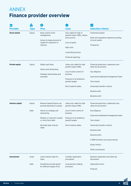## **Finance provider overview** ANNEX

| ш                      | $\mathbf{S}$   |                                                                                                                                                                                             |                                                                                                                                                                  |                                                                                                                                                                                                                                                                                         |  |
|------------------------|----------------|---------------------------------------------------------------------------------------------------------------------------------------------------------------------------------------------|------------------------------------------------------------------------------------------------------------------------------------------------------------------|-----------------------------------------------------------------------------------------------------------------------------------------------------------------------------------------------------------------------------------------------------------------------------------------|--|
| <b>Provider</b>        | <b>Type</b>    | <b>Pros</b>                                                                                                                                                                                 | <b>Cons</b>                                                                                                                                                      | <b>Selection criteria</b>                                                                                                                                                                                                                                                               |  |
| <b>Stock market</b>    | Equity         | Keep control of the<br>management<br>Access to large amounts of<br>capital for expansion or<br>maturity                                                                                     | Only viable for high or<br>growth impact SMEs, zebras<br>and unicorns<br>Loss of equity<br>High costs<br>Long listing process<br>Financial reporting             | Investment banker<br>Rules and regulations depend according<br>to local market<br>Prospectus                                                                                                                                                                                            |  |
| <b>Private equity</b>  | Equity         | Stable cash flows<br>Advice and networking<br>Strategic partnerships and<br>synergies                                                                                                       | Likely only viable for high<br>growth impact SMEs<br>Loss of some control of<br>business<br>Pressure to hit ambitious<br>growth targets<br>Strict maturity dates | Financial projections, statements and<br>other biz documents<br>Due diligence<br>Good and established management team<br>Term sheets<br>Ownership transfer contract<br><b>Business plan</b><br><b>Business pitch</b>                                                                    |  |
| <b>Venture capital</b> | Equity<br>Debt | Revenue-based finance can<br>provide alternative to equity<br>Advice on strategy and<br>networking<br>Medium or long-term capital<br>vs. short-term debt<br>Normally take minority<br>stake | Likely only viable for high<br>growth impact SMEs<br>Loss of some control of<br>business<br>Pressure to hit ambitious<br>growth targets<br>Strict maturity dates | Financial projections, statements and<br>other biz documents<br>Due diligence<br>Good and established management team<br>Term sheets<br>Ownership transfer contract<br>Business plan<br><b>Business pitch</b><br>A MRR (monthly recurring revenue)<br>Equity history<br>100% commitment |  |
| <b>Goverments</b>      | Grant<br>Debt  | Lower interest rates for<br>loans<br>Sometimes provide grants<br>for different stages of biz                                                                                                | Complex application<br>procedures<br>Long decision-making<br>processes                                                                                           | Business registration and other biz<br>documents<br>Application forms<br>Proposal                                                                                                                                                                                                       |  |

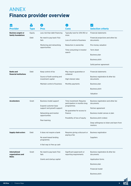## **Finance provider overview** ANNEX

| ш                                               | $\mathsf{S}$                              |                                                                    |                                                           |                                                  |  |  |
|-------------------------------------------------|-------------------------------------------|--------------------------------------------------------------------|-----------------------------------------------------------|--------------------------------------------------|--|--|
| <b>Provider</b>                                 | <b>Pros</b><br><b>Cons</b><br><b>Type</b> |                                                                    |                                                           | <b>Selection criteria</b>                        |  |  |
| <b>Business angels or</b><br>family foundations | Equity                                    | Less risk than debt financing                                      | Typically look for 25% ROI or<br>more                     | <b>Financial statements</b>                      |  |  |
|                                                 | Debt                                      | No need to pay back if biz<br>Loss of control of business<br>fails |                                                           | Financial projections and other biz<br>documents |  |  |
|                                                 |                                           | Mentoring and networking<br>opportunities                          | Reduction in ownership                                    | Pre-money valuation                              |  |  |
|                                                 |                                           |                                                                    | Time consuming in investor<br>search                      | Term sheet                                       |  |  |
|                                                 |                                           |                                                                    |                                                           | <b>Business plan</b>                             |  |  |
|                                                 |                                           |                                                                    |                                                           | <b>Business pitch</b>                            |  |  |
|                                                 |                                           |                                                                    |                                                           | Solid partner agreement                          |  |  |
| <b>Banks and</b><br>financial institutions      | Debt                                      | Keep control of biz                                                | May require guarantee or<br>collateral                    | <b>Financial statements</b>                      |  |  |
|                                                 |                                           | Source of both working and<br>investment capital                   | High interest rates                                       | Business registration & other biz<br>documents   |  |  |
|                                                 |                                           | Maintain control of business                                       | Monthly payments                                          | <b>Business plan</b>                             |  |  |
|                                                 |                                           |                                                                    |                                                           | <b>Business pitch</b>                            |  |  |
|                                                 |                                           |                                                                    |                                                           | Valuation                                        |  |  |
| <b>Accelerators</b>                             | Grant                                     | Business model support                                             | Time investment: Requires<br>participation in months-long | Business registration and other biz<br>documents |  |  |
|                                                 |                                           | Expand customer base<br>support and growth support                 | programmes                                                | Partner agreement                                |  |  |
|                                                 |                                           | Networking and mentor<br>opportunities                             | No guarantee for access to<br>finance                     | Business model canvas or plan                    |  |  |
|                                                 |                                           |                                                                    | Possibility of loss of equity                             | Business pitch (video)                           |  |  |
|                                                 | Peer learning                             |                                                                    | Deep willingness to listen and learn from<br>mentors      |                                                  |  |  |
| <b>Supply chain actors</b>                      | Debt                                      | It does not require a bank                                         | Requires giving a discount or                             | <b>Business registration</b>                     |  |  |
|                                                 | No asset-based lending<br>programme.      |                                                                    | paying a fee                                              | Suppliers                                        |  |  |
|                                                 |                                           | A fast way to free up cash                                         |                                                           |                                                  |  |  |
| <b>International</b><br>organizations and       | Grant                                     | No need to pay back if biz<br>fails                                | Significant paperwork or<br>reporting requirements        | Business registration & other biz<br>documents   |  |  |
| <b>NGOs</b>                                     |                                           | Grants and startup capital                                         |                                                           | Application forms                                |  |  |
|                                                 |                                           |                                                                    |                                                           | <b>Business plan</b>                             |  |  |
|                                                 |                                           |                                                                    |                                                           | Financial model                                  |  |  |

Business pitch

**RISE** 

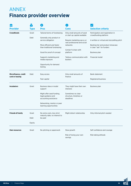## **Finance provider overview** ANNEX

| ш                                       | Š.          |                                                                          |                                                             |                                                                |  |
|-----------------------------------------|-------------|--------------------------------------------------------------------------|-------------------------------------------------------------|----------------------------------------------------------------|--|
| <b>Provider</b>                         | <b>Type</b> | <b>Pros</b>                                                              | Cons                                                        | <b>Selection criteria</b>                                      |  |
| <b>Crowdfunds</b>                       | Grant       | Tailored terms of fundraising                                            | Only small amounts of seed<br>or start up capital available | Participation and registration in<br>crowdfunding platform     |  |
|                                         | Debt        | Generally only product or<br>service obligation                          | Require marketing savvy or<br>vast professional and social  | A written or virtual and storytelling pitch                    |  |
|                                         |             | More efficient and faster<br>than traditional fundraising                | networks                                                    | Backing tier and product showcase<br>A clear "ask" for funders |  |
|                                         |             | Good for proof of concept                                                | Certain % share with<br>platform                            | <b>Business plan</b>                                           |  |
|                                         |             | Supports marketing and<br>media exposure                                 | Tedious communication with<br>backers                       | Financial model                                                |  |
|                                         |             | Opportunity for demand<br>testing                                        |                                                             |                                                                |  |
| Microfinance, credit<br>card or leasing | Debt        | Easy access                                                              | Only small amounts of<br>finance                            | Bank statement                                                 |  |
|                                         |             | Fast capital                                                             |                                                             | Registered business                                            |  |
| <b>Incubators</b>                       | Grant       | Business idea or model<br>support                                        | They might have their own<br>interests                      | Business plan                                                  |  |
|                                         |             | Might offer seed funding,<br>legal guidance and<br>accounting assistance | Sometimes no clear<br>structure, timelines or<br>deadlines  |                                                                |  |
|                                         |             | Networking, mentor or peer<br>learning opportunities                     |                                                             |                                                                |  |
| <b>Friends &amp; Family</b>             | Grant       | No extra costs, less strict                                              | Might distort relationship                                  | Only informal pitch needed                                     |  |
|                                         | Debt        | maturity date, no interest to<br>be paid                                 |                                                             |                                                                |  |
|                                         | Equity      |                                                                          |                                                             |                                                                |  |
| <b>Own resources</b>                    | Grant       | No pitching or paperwork                                                 | Slow growth                                                 | Self confidence and courage                                    |  |
|                                         |             |                                                                          | Risk of losing your own<br>savings                          | Risk taking attitude                                           |  |

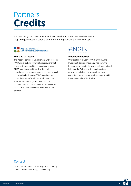## **Credits** Partners

We owe our gratitude to ANDE and ANGIN who helped us create the finance maps by generously providing with the data to populate the finance maps.

## Aspen Network of<br>Development Entrepreneurs

The Aspen Network of Development Entrepreneurs (ANDE) is a global network of organizations that propel entrepreneurship in emerging markets. ANDE members provide critical financial, educational, and business support services to small and growing businesses (SGBs) based on the conviction that SGBs will create jobs, stimulate long-term economic growth, and produce environmental and social benefits. Ultimately, we believe that SGBs can help lift countries out of poverty.



#### **Thailand database Indonesia database**

Over the last four years, ANGIN (Angel Angel Investment Network Indonesia) has grown to become more than the largest investment network in Indonesia. To leverage the function of our network in building a thriving entrepreneurial ecosystem, we frame our services under ANGIN Investment and ANGIN Advisory.

### **Contact**

Do you want to add a finance map for you country? Contact: weempower.asia@unwomen.org